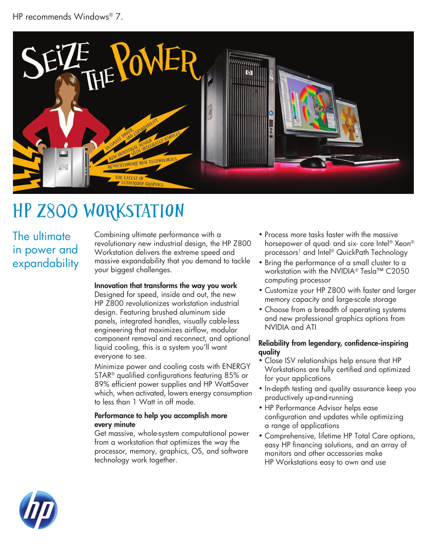

# HP z800 Workstation

The ultimate in power and expandability

Combining ultimate performance with a revolutionary new industrial design, the HP Z800 Workstation delivers the extreme speed and massive expandability that you demand to tackle your biggest challenges.

### Innovation that transforms the way you work

Designed for speed, inside and out, the new HP Z800 revolutionizes workstation industrial design. Featuring brushed aluminum side panels, integrated handles, visually cable-less engineering that maximizes airflow, modular component removal and reconnect, and optional liquid cooling, this is a system you'll want everyone to see.

Minimize power and cooling costs with ENERGY STAR® qualified configurations featuring 85% or 89% efficient power supplies and HP WattSaver which, when activated, lowers energy consumption to less than 1 Watt in off mode.

#### Performance to help you accomplish more every minute

Get massive, whole-system computational power from a workstation that optimizes the way the processor, memory, graphics, OS, and software technology work together.

- Process more tasks faster with the massive horsepower of quad- and six- core Intel® Xeon® processors<sup>1</sup> and Intel® QuickPath Technology
- Bring the performance of a small cluster to a workstation with the NVIDIA® Tesla™ C2050 computing processor
- Customize your HP Z800 with faster and larger memory capacity and large-scale storage
- Choose from a breadth of operating systems and new professional graphics options from NVIDIA and ATI

#### Reliability from legendary, confidence-inspiring quality

- Close ISV relationships help ensure that HP Workstations are fully certified and optimized for your applications
- In-depth testing and quality assurance keep you productively up-and-running
- HP Performance Advisor helps ease configuration and updates while optimizing a range of applications
- Comprehensive, lifetime HP Total Care options, easy HP financing solutions, and an array of monitors and other accessories make HP Workstations easy to own and use